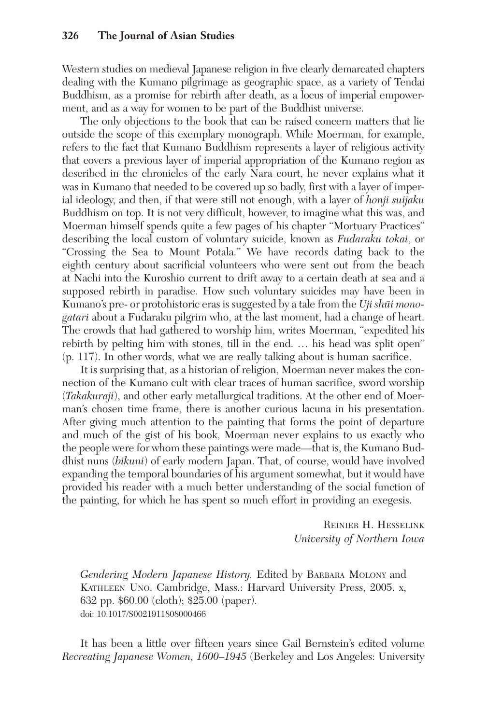Western studies on medieval Japanese religion in five clearly demarcated chapters dealing with the Kumano pilgrimage as geographic space, as a variety of Tendai Buddhism, as a promise for rebirth after death, as a locus of imperial empowerment, and as a way for women to be part of the Buddhist universe.

The only objections to the book that can be raised concern matters that lie outside the scope of this exemplary monograph. While Moerman, for example, refers to the fact that Kumano Buddhism represents a layer of religious activity that covers a previous layer of imperial appropriation of the Kumano region as described in the chronicles of the early Nara court, he never explains what it was in Kumano that needed to be covered up so badly, first with a layer of imperial ideology, and then, if that were still not enough, with a layer of *honji suijaku* Buddhism on top. It is not very difficult, however, to imagine what this was, and Moerman himself spends quite a few pages of his chapter "Mortuary Practices" describing the local custom of voluntary suicide, known as Fudaraku tokai, or "Crossing the Sea to Mount Potala." We have records dating back to the eighth century about sacrificial volunteers who were sent out from the beach at Nachi into the Kuroshio current to drift away to a certain death at sea and a supposed rebirth in paradise. How such voluntary suicides may have been in Kumano's pre- or protohistoric eras is suggested by a tale from the  $Uji$  shuti monogatari about a Fudaraku pilgrim who, at the last moment, had a change of heart. The crowds that had gathered to worship him, writes Moerman, "expedited his rebirth by pelting him with stones, till in the end. … his head was split open" (p. 117). In other words, what we are really talking about is human sacrifice.

It is surprising that, as a historian of religion, Moerman never makes the connection of the Kumano cult with clear traces of human sacrifice, sword worship (Takakuraji), and other early metallurgical traditions. At the other end of Moerman's chosen time frame, there is another curious lacuna in his presentation. After giving much attention to the painting that forms the point of departure and much of the gist of his book, Moerman never explains to us exactly who the people were for whom these paintings were made—that is, the Kumano Buddhist nuns (bikuni) of early modern Japan. That, of course, would have involved expanding the temporal boundaries of his argument somewhat, but it would have provided his reader with a much better understanding of the social function of the painting, for which he has spent so much effort in providing an exegesis.

> REINIER H. HESSELINK University of Northern Iowa

Gendering Modern Japanese History. Edited by BARBARA MOLONY and KATHLEEN UNO. Cambridge, Mass.: Harvard University Press, 2005. x, 632 pp. \$60.00 (cloth); \$25.00 (paper). doi: 10.1017/S0021911808000466

It has been a little over fifteen years since Gail Bernstein's edited volume Recreating Japanese Women, 1600–1945 (Berkeley and Los Angeles: University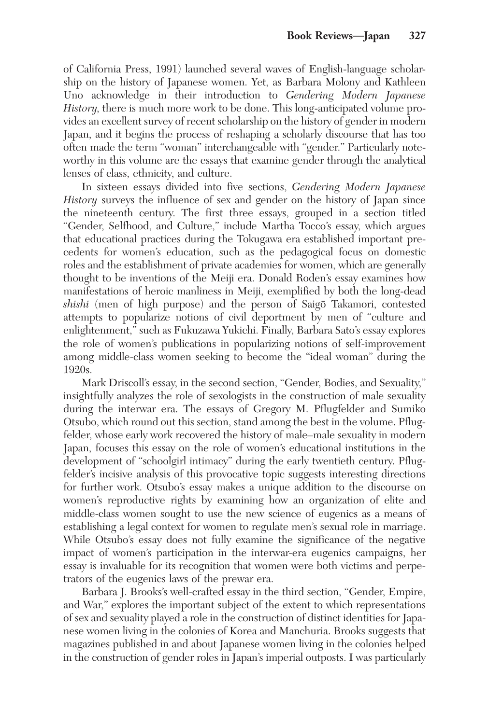of California Press, 1991) launched several waves of English-language scholarship on the history of Japanese women. Yet, as Barbara Molony and Kathleen Uno acknowledge in their introduction to Gendering Modern Japanese History, there is much more work to be done. This long-anticipated volume provides an excellent survey of recent scholarship on the history of gender in modern Japan, and it begins the process of reshaping a scholarly discourse that has too often made the term "woman" interchangeable with "gender." Particularly noteworthy in this volume are the essays that examine gender through the analytical lenses of class, ethnicity, and culture.

In sixteen essays divided into five sections, Gendering Modern Japanese History surveys the influence of sex and gender on the history of Japan since the nineteenth century. The first three essays, grouped in a section titled "Gender, Selfhood, and Culture," include Martha Tocco's essay, which argues that educational practices during the Tokugawa era established important precedents for women's education, such as the pedagogical focus on domestic roles and the establishment of private academies for women, which are generally thought to be inventions of the Meiji era. Donald Roden's essay examines how manifestations of heroic manliness in Meiji, exemplified by both the long-dead shishi (men of high purpose) and the person of Saigō Takamori, contested attempts to popularize notions of civil deportment by men of "culture and enlightenment," such as Fukuzawa Yukichi. Finally, Barbara Sato's essay explores the role of women's publications in popularizing notions of self-improvement among middle-class women seeking to become the "ideal woman" during the 1920s.

Mark Driscoll's essay, in the second section, "Gender, Bodies, and Sexuality," insightfully analyzes the role of sexologists in the construction of male sexuality during the interwar era. The essays of Gregory M. Pflugfelder and Sumiko Otsubo, which round out this section, stand among the best in the volume. Pflugfelder, whose early work recovered the history of male–male sexuality in modern Japan, focuses this essay on the role of women's educational institutions in the development of "schoolgirl intimacy" during the early twentieth century. Pflugfelder's incisive analysis of this provocative topic suggests interesting directions for further work. Otsubo's essay makes a unique addition to the discourse on women's reproductive rights by examining how an organization of elite and middle-class women sought to use the new science of eugenics as a means of establishing a legal context for women to regulate men's sexual role in marriage. While Otsubo's essay does not fully examine the significance of the negative impact of women's participation in the interwar-era eugenics campaigns, her essay is invaluable for its recognition that women were both victims and perpetrators of the eugenics laws of the prewar era.

Barbara J. Brooks's well-crafted essay in the third section, "Gender, Empire, and War," explores the important subject of the extent to which representations of sex and sexuality played a role in the construction of distinct identities for Japanese women living in the colonies of Korea and Manchuria. Brooks suggests that magazines published in and about Japanese women living in the colonies helped in the construction of gender roles in Japan's imperial outposts. I was particularly